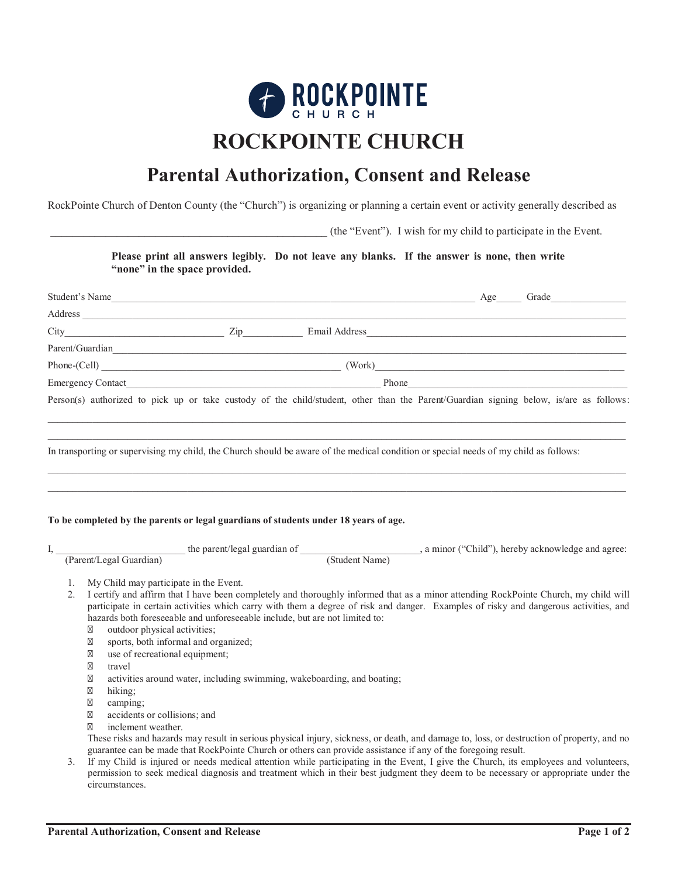

## **ROCKPOINTE CHURCH**

## **Parental Authorization, Consent and Release**

RockPointe Church of Denton County (the "Church") is organizing or planning a certain event or activity generally described as

\_\_\_\_\_\_\_\_\_\_\_\_\_\_\_\_\_\_\_\_\_\_\_\_\_\_\_\_\_\_\_\_\_\_\_\_\_\_\_\_\_\_\_\_\_\_\_\_\_\_ (the "Event"). I wish for my child to participate in the Event.

**Please print all answers legibly. Do not leave any blanks. If the answer is none, then write "none" in the space provided.**

|                      |                                                                                                                                                                                                                                                                                                                                                                                                   | Student's Name Grade Grade Grade Grade Grade Grade Grade Grade Grade Grade Grade Grade Grade Grade Grade Grade Grade Grade Grade Grade Grade Grade Grade Grade Grade Grade Grade Grade Grade Grade Grade Grade Grade Grade Gra                                              |  |
|----------------------|---------------------------------------------------------------------------------------------------------------------------------------------------------------------------------------------------------------------------------------------------------------------------------------------------------------------------------------------------------------------------------------------------|-----------------------------------------------------------------------------------------------------------------------------------------------------------------------------------------------------------------------------------------------------------------------------|--|
|                      |                                                                                                                                                                                                                                                                                                                                                                                                   |                                                                                                                                                                                                                                                                             |  |
|                      |                                                                                                                                                                                                                                                                                                                                                                                                   |                                                                                                                                                                                                                                                                             |  |
|                      |                                                                                                                                                                                                                                                                                                                                                                                                   |                                                                                                                                                                                                                                                                             |  |
|                      |                                                                                                                                                                                                                                                                                                                                                                                                   |                                                                                                                                                                                                                                                                             |  |
|                      |                                                                                                                                                                                                                                                                                                                                                                                                   |                                                                                                                                                                                                                                                                             |  |
|                      |                                                                                                                                                                                                                                                                                                                                                                                                   | Person(s) authorized to pick up or take custody of the child/student, other than the Parent/Guardian signing below, is/are as follows:                                                                                                                                      |  |
|                      |                                                                                                                                                                                                                                                                                                                                                                                                   | In transporting or supervising my child, the Church should be aware of the medical condition or special needs of my child as follows:                                                                                                                                       |  |
|                      | To be completed by the parents or legal guardians of students under 18 years of age.                                                                                                                                                                                                                                                                                                              |                                                                                                                                                                                                                                                                             |  |
|                      |                                                                                                                                                                                                                                                                                                                                                                                                   |                                                                                                                                                                                                                                                                             |  |
| 1.<br>2 <sub>1</sub> | My Child may participate in the Event.<br>hazards both foreseeable and unforeseeable include, but are not limited to:<br>outdoor physical activities;<br>sports, both informal and organized;<br>use of recreational equipment;<br>travel<br>activities around water, including swimming, wakeboarding, and boating;<br>hiking;<br>camping:<br>accidents or collisions: and<br>inclement weather. | I certify and affirm that I have been completely and thoroughly informed that as a minor attending RockPointe Church, my child will<br>participate in certain activities which carry with them a degree of risk and danger. Examples of risky and dangerous activities, and |  |

It in serious physical injury, sickness, or death, and damage to, loss, or destruction of property, and no guarantee can be made that RockPointe Church or others can provide assistance if any of the foregoing result.

3. If my Child is injured or needs medical attention while participating in the Event, I give the Church, its employees and volunteers, permission to seek medical diagnosis and treatment which in their best judgment they deem to be necessary or appropriate under the circumstances.